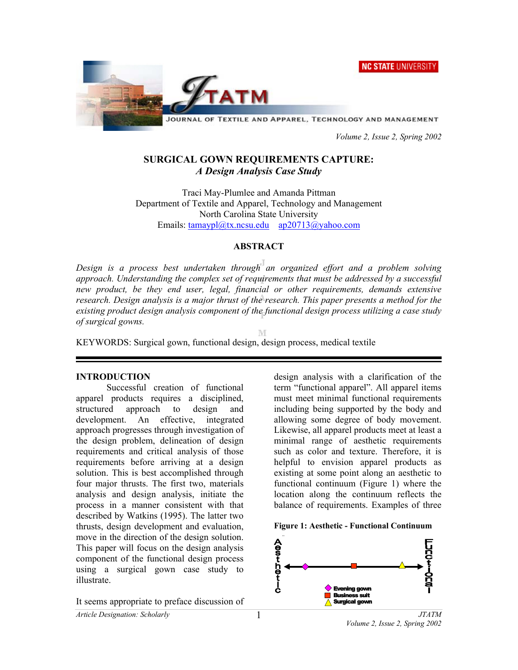**NC STATE UNIVERSITY** 



JOURNAL OF TEXTILE AND APPAREL, TECHNOLOGY AND MANAGEMENT

 *Volume 2, Issue 2, Spring 2002* 

## **SURGICAL GOWN REQUIREMENTS CAPTURE:**  *A Design Analysis Case Study*

Traci May-Plumlee and Amanda Pittman Department of Textile and Apparel, Technology and Management North Carolina State University Emails: tamaypl@tx.ncsu.edu ap20713@yahoo.com

#### **ABSTRACT**

*Design is a process best undertaken through an organized effort and a problem solving approach. Understanding the complex set of requirements that must be addressed by a successful new product, be they end user, legal, financial or other requirements, demands extensive research. Design analysis is a major thrust of the research. This paper presents a method for the existing product design analysis component of the functional design process utilizing a case study of surgical gowns.* 

M

KEYWORDS: Surgical gown, functional design, design process, medical textile

## **INTRODUCTION**

Successful creation of functional apparel products requires a disciplined, structured approach to design and<br>development. An effective, integrated An effective, integrated. approach progresses through investigation of the design problem, delineation of design requirements and critical analysis of those requirements before arriving at a design solution. This is best accomplished through four major thrusts. The first two, materials analysis and design analysis, initiate the process in a manner consistent with that described by Watkins (1995). The latter two thrusts, design development and evaluation, move in the direction of the design solution. This paper will focus on the design analysis component of the functional design process using a surgical gown case study to illustrate.

It seems appropriate to preface discussion of

design analysis with a clarification of the term "functional apparel". All apparel items must meet minimal functional requirements including being supported by the body and allowing some degree of body movement. Likewise, all apparel products meet at least a minimal range of aesthetic requirements such as color and texture. Therefore, it is helpful to envision apparel products as existing at some point along an aesthetic to functional continuum (Figure 1) where the location along the continuum reflects the balance of requirements. Examples of three



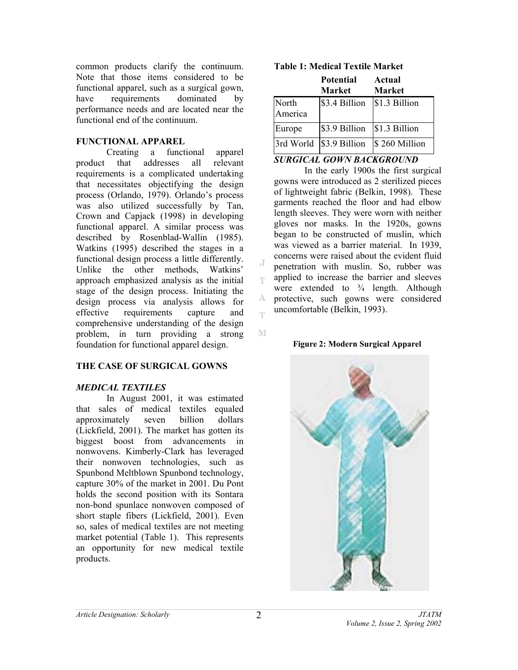common products clarify the continuum. Note that those items considered to be functional apparel, such as a surgical gown, have requirements dominated by performance needs and are located near the functional end of the continuum.

#### **FUNCTIONAL APPAREL**

Creating a functional apparel product that addresses all relevant requirements is a complicated undertaking that necessitates objectifying the design process (Orlando, 1979). Orlando's process was also utilized successfully by Tan, Crown and Capjack (1998) in developing functional apparel. A similar process was described by Rosenblad-Wallin (1985). Watkins (1995) described the stages in a functional design process a little differently. Unlike the other methods, Watkins' approach emphasized analysis as the initial stage of the design process. Initiating the design process via analysis allows for effective requirements capture and comprehensive understanding of the design problem, in turn providing a strong foundation for functional apparel design.

## **THE CASE OF SURGICAL GOWNS**

#### *MEDICAL TEXTILES*

In August 2001, it was estimated that sales of medical textiles equaled approximately seven billion dollars (Lickfield, 2001). The market has gotten its biggest boost from advancements in nonwovens. Kimberly-Clark has leveraged their nonwoven technologies, such as Spunbond Meltblown Spunbond technology, capture 30% of the market in 2001. Du Pont holds the second position with its Sontara non-bond spunlace nonwoven composed of short staple fibers (Lickfield, 2001). Even so, sales of medical textiles are not meeting market potential (Table 1). This represents an opportunity for new medical textile products.

|                  | <b>Potential</b><br><b>Market</b> | Actual<br><b>Market</b> |
|------------------|-----------------------------------|-------------------------|
| North<br>America | \$3.4 Billion                     | \$1.3 Billion           |
| Europe           | \$3.9 Billion                     | \$1.3 Billion           |
| 3rd World        | \$3.9 Billion                     | \$260 Million           |

## **Table 1: Medical Textile Market**

## *SURGICAL GOWN BACKGROUND*

In the early 1900s the first surgical gowns were introduced as 2 sterilized pieces of lightweight fabric (Belkin, 1998). These garments reached the floor and had elbow length sleeves. They were worn with neither gloves nor masks. In the 1920s, gowns began to be constructed of muslin, which was viewed as a barrier material. In 1939, concerns were raised about the evident fluid penetration with muslin. So, rubber was applied to increase the barrier and sleeves were extended to  $\frac{3}{4}$  length. Although protective, such gowns were considered uncomfortable (Belkin, 1993).

#### **Figure 2: Modern Surgical Apparel**



 $\overline{A}$ Ŧ

A. m

M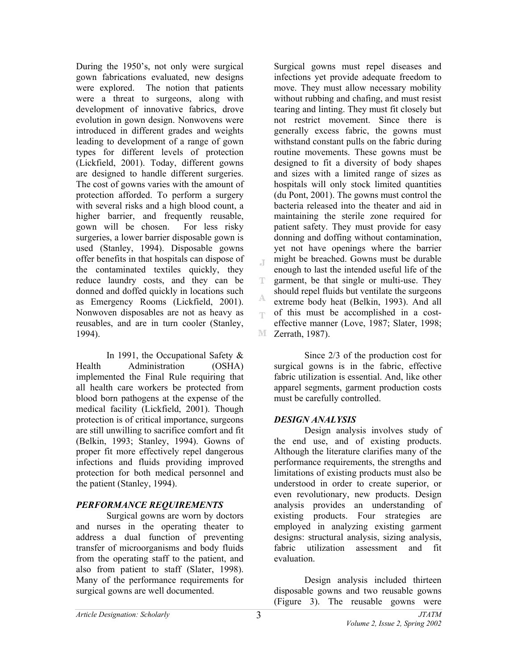During the 1950's, not only were surgical gown fabrications evaluated, new designs were explored. The notion that patients were a threat to surgeons, along with development of innovative fabrics, drove evolution in gown design. Nonwovens were introduced in different grades and weights leading to development of a range of gown types for different levels of protection (Lickfield, 2001). Today, different gowns are designed to handle different surgeries. The cost of gowns varies with the amount of protection afforded. To perform a surgery with several risks and a high blood count, a higher barrier, and frequently reusable, gown will be chosen. For less risky surgeries, a lower barrier disposable gown is used (Stanley, 1994). Disposable gowns offer benefits in that hospitals can dispose of the contaminated textiles quickly, they reduce laundry costs, and they can be donned and doffed quickly in locations such as Emergency Rooms (Lickfield, 2001). Nonwoven disposables are not as heavy as reusables, and are in turn cooler (Stanley, 1994).

In 1991, the Occupational Safety & Health Administration (OSHA) implemented the Final Rule requiring that all health care workers be protected from blood born pathogens at the expense of the medical facility (Lickfield, 2001). Though protection is of critical importance, surgeons are still unwilling to sacrifice comfort and fit (Belkin, 1993; Stanley, 1994). Gowns of proper fit more effectively repel dangerous infections and fluids providing improved protection for both medical personnel and the patient (Stanley, 1994).

## *PERFORMANCE REQUIREMENTS*

Surgical gowns are worn by doctors and nurses in the operating theater to address a dual function of preventing transfer of microorganisms and body fluids from the operating staff to the patient, and also from patient to staff (Slater, 1998). Many of the performance requirements for surgical gowns are well documented.

Surgical gowns must repel diseases and infections yet provide adequate freedom to move. They must allow necessary mobility without rubbing and chafing, and must resist tearing and linting. They must fit closely but not restrict movement. Since there is generally excess fabric, the gowns must withstand constant pulls on the fabric during routine movements. These gowns must be designed to fit a diversity of body shapes and sizes with a limited range of sizes as hospitals will only stock limited quantities (du Pont, 2001). The gowns must control the bacteria released into the theater and aid in maintaining the sterile zone required for patient safety. They must provide for easy donning and doffing without contamination, yet not have openings where the barrier might be breached. Gowns must be durable enough to last the intended useful life of the garment, be that single or multi-use. They should repel fluids but ventilate the surgeons extreme body heat (Belkin, 1993). And all of this must be accomplished in a costeffective manner (Love, 1987; Slater, 1998; **M** Zerrath, 1987).

Since 2/3 of the production cost for surgical gowns is in the fabric, effective fabric utilization is essential. And, like other apparel segments, garment production costs must be carefully controlled.

## *DESIGN ANALYSIS*

Design analysis involves study of the end use, and of existing products. Although the literature clarifies many of the performance requirements, the strengths and limitations of existing products must also be understood in order to create superior, or even revolutionary, new products. Design analysis provides an understanding of existing products. Four strategies are employed in analyzing existing garment designs: structural analysis, sizing analysis, fabric utilization assessment and fit evaluation.

Design analysis included thirteen disposable gowns and two reusable gowns (Figure 3). The reusable gowns were

 $\mathbb T$ 

Ŧ

A egs.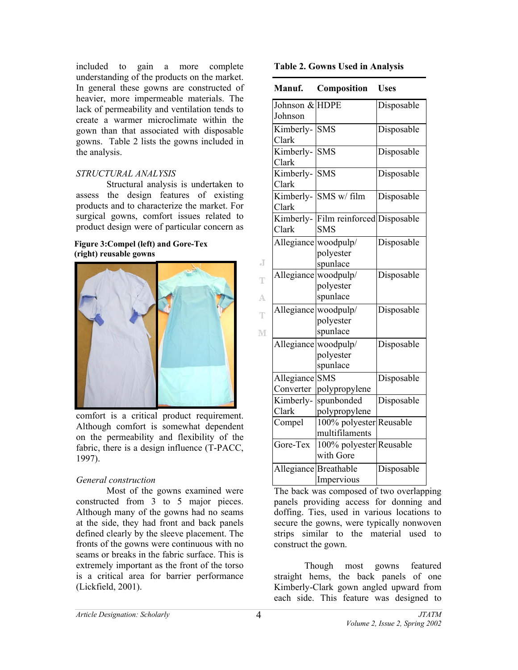included to gain a more complete understanding of the products on the market. In general these gowns are constructed of heavier, more impermeable materials. The lack of permeability and ventilation tends to create a warmer microclimate within the gown than that associated with disposable gowns. Table 2 lists the gowns included in the analysis.

#### *STRUCTURAL ANALYSIS*

Structural analysis is undertaken to assess the design features of existing products and to characterize the market. For surgical gowns, comfort issues related to product design were of particular concern as

#### **Figure 3:Compel (left) and Gore-Tex (right) reusable gowns**



comfort is a critical product requirement. Although comfort is somewhat dependent on the permeability and flexibility of the fabric, there is a design influence (T-PACC, 1997).

## *General construction*

Most of the gowns examined were constructed from 3 to 5 major pieces. Although many of the gowns had no seams at the side, they had front and back panels defined clearly by the sleeve placement. The fronts of the gowns were continuous with no seams or breaks in the fabric surface. This is extremely important as the front of the torso is a critical area for barrier performance (Lickfield, 2001).

| Manuf.                    | Composition                                   | <b>Uses</b> |
|---------------------------|-----------------------------------------------|-------------|
| Johnson & HDPE<br>Johnson |                                               | Disposable  |
| Kimberly-<br>Clark        | <b>SMS</b>                                    | Disposable  |
| Kimberly-<br>Clark        | <b>SMS</b>                                    | Disposable  |
| Kimberly-<br>Clark        | <b>SMS</b>                                    | Disposable  |
| Kimberly-<br>Clark        | SMS w/ film                                   | Disposable  |
| Kimberly-<br>Clark        | Film reinforced Disposable<br><b>SMS</b>      |             |
|                           | Allegiance woodpulp/<br>polyester<br>spunlace | Disposable  |
|                           | Allegiance woodpulp/<br>polyester<br>spunlace | Disposable  |
|                           | Allegiance woodpulp/<br>polyester<br>spunlace | Disposable  |
| Allegiance                | woodpulp/<br>polyester<br>spunlace            | Disposable  |
| Allegiance<br>Converter   | <b>SMS</b><br>polypropylene                   | Disposable  |
| Kimberly-<br>Clark        | spunbonded<br>polypropylene                   | Disposable  |
| Compel                    | 100% polyester Reusable<br>multifilaments     |             |
| Gore-Tex                  | 100% polyester Reusable<br>with Gore          |             |
|                           | Allegiance Breathable<br>Impervious           | Disposable  |

The back was composed of two overlapping panels providing access for donning and doffing. Ties, used in various locations to secure the gowns, were typically nonwoven strips similar to the material used to construct the gown.

Though most gowns featured straight hems, the back panels of one Kimberly-Clark gown angled upward from each side. This feature was designed to

J

T

A.

Ŧ

M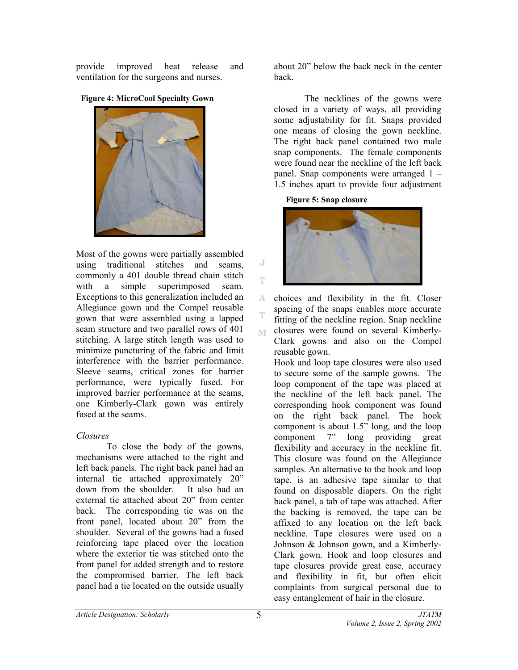provide improved heat release and ventilation for the surgeons and nurses.

**Figure 4: MicroCool Specialty Gown** 



Most of the gowns were partially assembled using traditional stitches and seams, commonly a 401 double thread chain stitch with a simple superimposed seam. Exceptions to this generalization included an Allegiance gown and the Compel reusable gown that were assembled using a lapped seam structure and two parallel rows of 401 stitching. A large stitch length was used to minimize puncturing of the fabric and limit interference with the barrier performance. Sleeve seams, critical zones for barrier performance, were typically fused. For improved barrier performance at the seams, one Kimberly-Clark gown was entirely fused at the seams.

## *Closures*

To close the body of the gowns, mechanisms were attached to the right and left back panels. The right back panel had an internal tie attached approximately 20" down from the shoulder. It also had an external tie attached about 20" from center back. The corresponding tie was on the front panel, located about 20" from the shoulder. Several of the gowns had a fused reinforcing tape placed over the location where the exterior tie was stitched onto the front panel for added strength and to restore the compromised barrier. The left back panel had a tie located on the outside usually

about 20" below the back neck in the center back.

The necklines of the gowns were closed in a variety of ways, all providing some adjustability for fit. Snaps provided one means of closing the gown neckline. The right back panel contained two male snap components. The female components were found near the neckline of the left back panel. Snap components were arranged 1 – 1.5 inches apart to provide four adjustment

**Figure 5: Snap closure** 



choices and flexibility in the fit. Closer A. spacing of the snaps enables more accurate fitting of the neckline region. Snap neckline closures were found on several Kimberly-M. Clark gowns and also on the Compel reusable gown.

Hook and loop tape closures were also used to secure some of the sample gowns. The loop component of the tape was placed at the neckline of the left back panel. The corresponding hook component was found on the right back panel. The hook component is about 1.5" long, and the loop component 7" long providing great flexibility and accuracy in the neckline fit. This closure was found on the Allegiance samples. An alternative to the hook and loop tape, is an adhesive tape similar to that found on disposable diapers. On the right back panel, a tab of tape was attached. After the backing is removed, the tape can be affixed to any location on the left back neckline. Tape closures were used on a Johnson & Johnson gown, and a Kimberly-Clark gown. Hook and loop closures and tape closures provide great ease, accuracy and flexibility in fit, but often elicit complaints from surgical personal due to easy entanglement of hair in the closure.

J Ŧ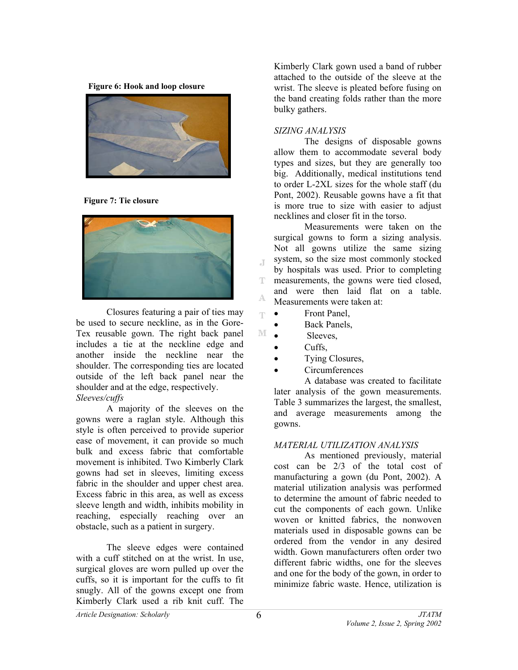**Figure 6: Hook and loop closure** 



**Figure 7: Tie closure** 



Closures featuring a pair of ties may be used to secure neckline, as in the Gore-Tex reusable gown. The right back panel includes a tie at the neckline edge and another inside the neckline near the shoulder. The corresponding ties are located outside of the left back panel near the shoulder and at the edge, respectively. *Sleeves/cuffs* 

A majority of the sleeves on the gowns were a raglan style. Although this style is often perceived to provide superior ease of movement, it can provide so much bulk and excess fabric that comfortable movement is inhibited. Two Kimberly Clark gowns had set in sleeves, limiting excess fabric in the shoulder and upper chest area. Excess fabric in this area, as well as excess sleeve length and width, inhibits mobility in reaching, especially reaching over an obstacle, such as a patient in surgery.

The sleeve edges were contained with a cuff stitched on at the wrist. In use, surgical gloves are worn pulled up over the cuffs, so it is important for the cuffs to fit snugly. All of the gowns except one from Kimberly Clark used a rib knit cuff. The

Kimberly Clark gown used a band of rubber attached to the outside of the sleeve at the wrist. The sleeve is pleated before fusing on the band creating folds rather than the more bulky gathers.

#### *SIZING ANALYSIS*

The designs of disposable gowns allow them to accommodate several body types and sizes, but they are generally too big. Additionally, medical institutions tend to order L-2XL sizes for the whole staff (du Pont, 2002). Reusable gowns have a fit that is more true to size with easier to adjust necklines and closer fit in the torso.

Measurements were taken on the surgical gowns to form a sizing analysis. Not all gowns utilize the same sizing system, so the size most commonly stocked J. by hospitals was used. Prior to completing T measurements, the gowns were tied closed, and were then laid flat on a table. A Measurements were taken at:

- Front Panel,
- Back Panels,
- Sleeves,
- Cuffs,

q.

M

- Tying Closures,
- Circumferences

A database was created to facilitate later analysis of the gown measurements. Table 3 summarizes the largest, the smallest, and average measurements among the gowns.

## *MATERIAL UTILIZATION ANALYSIS*

As mentioned previously, material cost can be 2/3 of the total cost of manufacturing a gown (du Pont, 2002). A material utilization analysis was performed to determine the amount of fabric needed to cut the components of each gown. Unlike woven or knitted fabrics, the nonwoven materials used in disposable gowns can be ordered from the vendor in any desired width. Gown manufacturers often order two different fabric widths, one for the sleeves and one for the body of the gown, in order to minimize fabric waste. Hence, utilization is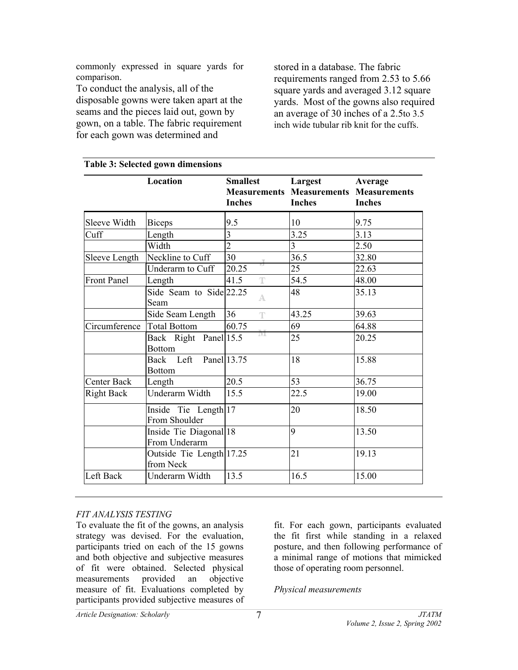commonly expressed in square yards for comparison.

To conduct the analysis, all of the disposable gowns were taken apart at the seams and the pieces laid out, gown by gown, on a table. The fabric requirement for each gown was determined and

stored in a database. The fabric requirements ranged from 2.53 to 5.66 square yards and averaged 3.12 square yards. Most of the gowns also required an average of 30 inches of a 2.5to 3.5 inch wide tubular rib knit for the cuffs.

|                    | Location                                | <b>Smallest</b><br><b>Inches</b> | Largest<br><b>Measurements Measurements Measurements</b><br><b>Inches</b> | Average<br><b>Inches</b> |
|--------------------|-----------------------------------------|----------------------------------|---------------------------------------------------------------------------|--------------------------|
| Sleeve Width       | <b>Biceps</b>                           | 9.5                              | 10                                                                        | 9.75                     |
| Cuff               | Length                                  | $\overline{3}$                   | 3.25                                                                      | 3.13                     |
|                    | Width                                   | $\overline{2}$                   | 3                                                                         | 2.50                     |
| Sleeve Length      | Neckline to Cuff                        | 30                               | 36.5                                                                      | 32.80                    |
|                    | Underarm to Cuff                        | 20.25                            | 25                                                                        | 22.63                    |
| <b>Front Panel</b> | Length                                  | 41.5<br>T                        | 54.5                                                                      | 48.00                    |
|                    | Side Seam to Side 22.25<br>Seam         | A                                | 48                                                                        | 35.13                    |
|                    | Side Seam Length                        | 36<br>Ŧ                          | 43.25                                                                     | 39.63                    |
| Circumference      | <b>Total Bottom</b>                     | 60.75                            | 69                                                                        | 64.88                    |
|                    | Back Right Panel 15.5<br><b>Bottom</b>  | IΨ                               | 25                                                                        | 20.25                    |
|                    | Back Left Panel 13.75<br><b>Bottom</b>  |                                  | 18                                                                        | 15.88                    |
| Center Back        | Length                                  | 20.5                             | 53                                                                        | 36.75                    |
| <b>Right Back</b>  | Underarm Width                          | 15.5                             | 22.5                                                                      | 19.00                    |
|                    | Inside Tie Length 17<br>From Shoulder   |                                  | 20                                                                        | 18.50                    |
|                    | Inside Tie Diagonal 18<br>From Underarm |                                  | 9                                                                         | 13.50                    |
|                    | Outside Tie Length 17.25<br>from Neck   |                                  | 21                                                                        | 19.13                    |
| Left Back          | Underarm Width                          | 13.5                             | 16.5                                                                      | 15.00                    |
|                    |                                         |                                  |                                                                           |                          |

# **Table 3: Selected gown dimensions**

## *FIT ANALYSIS TESTING*

To evaluate the fit of the gowns, an analysis strategy was devised. For the evaluation, participants tried on each of the 15 gowns and both objective and subjective measures of fit were obtained. Selected physical measurements provided an objective measure of fit. Evaluations completed by participants provided subjective measures of fit. For each gown, participants evaluated the fit first while standing in a relaxed posture, and then following performance of a minimal range of motions that mimicked those of operating room personnel.

*Physical measurements*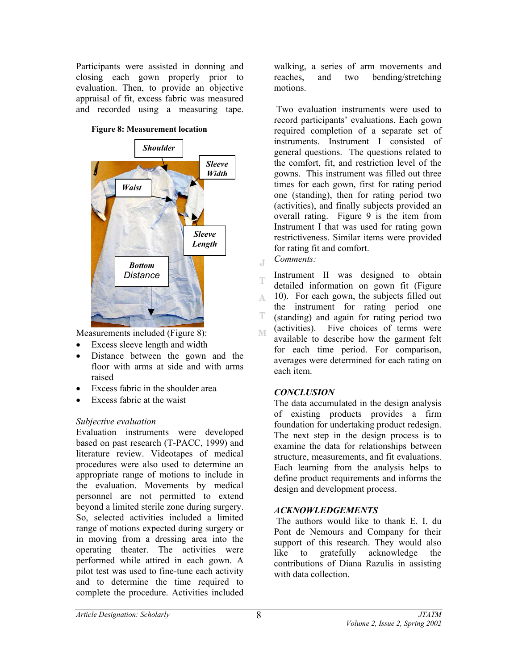Participants were assisted in donning and closing each gown properly prior to evaluation. Then, to provide an objective appraisal of fit, excess fabric was measured and recorded using a measuring tape.





Measurements included (Figure 8):

- Excess sleeve length and width
- Distance between the gown and the floor with arms at side and with arms raised
- Excess fabric in the shoulder area
- Excess fabric at the waist

## *Subjective evaluation*

Evaluation instruments were developed based on past research (T-PACC, 1999) and literature review. Videotapes of medical procedures were also used to determine an appropriate range of motions to include in the evaluation. Movements by medical personnel are not permitted to extend beyond a limited sterile zone during surgery. So, selected activities included a limited range of motions expected during surgery or in moving from a dressing area into the operating theater. The activities were performed while attired in each gown. A pilot test was used to fine-tune each activity and to determine the time required to complete the procedure. Activities included

walking, a series of arm movements and reaches, and two bending/stretching motions.

 Two evaluation instruments were used to record participants' evaluations. Each gown required completion of a separate set of instruments. Instrument I consisted of general questions. The questions related to the comfort, fit, and restriction level of the gowns. This instrument was filled out three times for each gown, first for rating period one (standing), then for rating period two (activities), and finally subjects provided an overall rating. Figure 9 is the item from Instrument I that was used for rating gown restrictiveness. Similar items were provided for rating fit and comfort.

*Comments:*   $\overline{A}$ 

Ŧ

Instrument II was designed to obtain detailed information on gown fit (Figure 10). For each gown, the subjects filled out A. the instrument for rating period one Ŧ. (standing) and again for rating period two (activities). Five choices of terms were WF. available to describe how the garment felt for each time period. For comparison, averages were determined for each rating on each item.

## *CONCLUSION*

The data accumulated in the design analysis of existing products provides a firm foundation for undertaking product redesign. The next step in the design process is to examine the data for relationships between structure, measurements, and fit evaluations. Each learning from the analysis helps to define product requirements and informs the design and development process.

## *ACKNOWLEDGEMENTS*

 The authors would like to thank E. I. du Pont de Nemours and Company for their support of this research. They would also like to gratefully acknowledge the contributions of Diana Razulis in assisting with data collection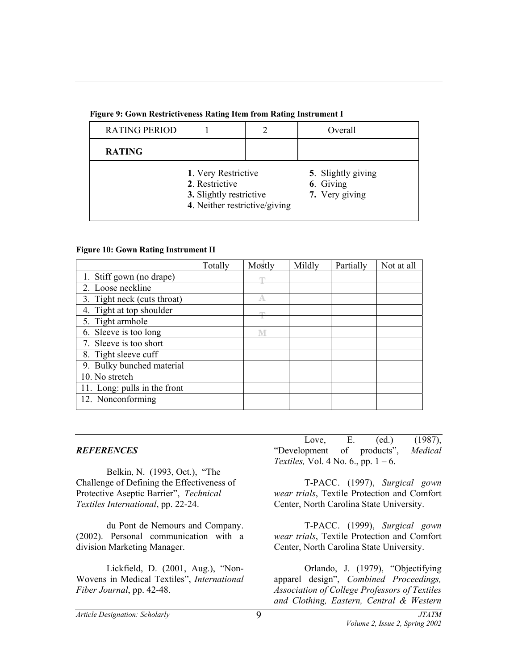| <b>RATING PERIOD</b> |                                                                                                   |  | Overall                                           |
|----------------------|---------------------------------------------------------------------------------------------------|--|---------------------------------------------------|
| <b>RATING</b>        |                                                                                                   |  |                                                   |
|                      | 1. Very Restrictive<br>2. Restrictive<br>3. Slightly restrictive<br>4. Neither restrictive/giving |  | 5. Slightly giving<br>6. Giving<br>7. Very giving |

**Figure 9: Gown Restrictiveness Rating Item from Rating Instrument I** 

#### **Figure 10: Gown Rating Instrument II**

|                              | Totally | Mostly | Mildly | Partially | Not at all |
|------------------------------|---------|--------|--------|-----------|------------|
| 1. Stiff gown (no drape)     |         |        |        |           |            |
| 2. Loose neckline            |         |        |        |           |            |
| 3. Tight neck (cuts throat)  |         | А      |        |           |            |
| 4. Tight at top shoulder     |         | m      |        |           |            |
| 5. Tight armhole             |         |        |        |           |            |
| 6. Sleeve is too long        |         | M      |        |           |            |
| 7. Sleeve is too short       |         |        |        |           |            |
| 8. Tight sleeve cuff         |         |        |        |           |            |
| 9. Bulky bunched material    |         |        |        |           |            |
| 10. No stretch               |         |        |        |           |            |
| 11. Long: pulls in the front |         |        |        |           |            |
| 12. Nonconforming            |         |        |        |           |            |

#### *REFERENCES*

Belkin, N. (1993, Oct.), "The Challenge of Defining the Effectiveness of Protective Aseptic Barrier", *Technical Textiles International*, pp. 22-24.

 du Pont de Nemours and Company. (2002). Personal communication with a division Marketing Manager.

 Lickfield, D. (2001, Aug.), "Non-Wovens in Medical Textiles", *International Fiber Journal*, pp. 42-48.

 Love, E. (ed.) (1987), "Development of products", *Medical Textiles,* Vol. 4 No. 6., pp. 1 – 6.

 T-PACC. (1997), *Surgical gown wear trials*, Textile Protection and Comfort Center, North Carolina State University.

 T-PACC. (1999), *Surgical gown wear trials*, Textile Protection and Comfort Center, North Carolina State University.

 Orlando, J. (1979), "Objectifying apparel design", *Combined Proceedings, Association of College Professors of Textiles and Clothing, Eastern, Central & Western* 

9